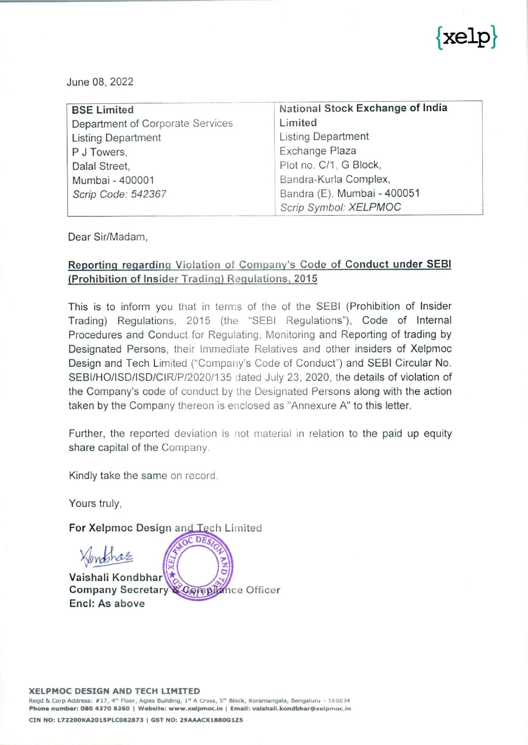

and the state of the state of the state of the state of the state of the state of the state of the state of th

| June 08, 2022                    |                                  |
|----------------------------------|----------------------------------|
|                                  |                                  |
|                                  |                                  |
| <b>BSE Limited</b>               | National Stock Exchange of India |
| Department of Corporate Services | Limited                          |
| <b>Listing Department</b>        | <b>Listing Department</b>        |
| P J Towers,                      | Exchange Plaza                   |
| Dalal Street,                    | Plot no. C/1, G Block,           |
| Mumbai - 400001                  | Bandra-Kurla Complex,            |
| Scrip Code: 542367               | Bandra (E), Mumbai - 400051      |

Dear Sir/Madam,

## Reporting regarding Violation of Company's Code of Conduct under SEBI (Prohibition of Insider Trading) Regulations, 2015

This is to inform you that in terms of the of the SEBI (Prohibition of Insider Trading) Regulations, 2015 (the "SEBI Regulations"), Code of Internal Procedures and Conduct for Regulating, Monitoring and Reporting of trading by Designated Persons, their Immediate Relatives and other insiders of Xelpmoc Design and Tech Limited ('Company's Code of Conduct") and SEBI Circular No. SEBI/HO/ISD/ISD/CIR/P/2020/135 dated July 23, 2020, the details of violation of the Company's code of conduct by the Designated Persons along with the action taken by the Company thereon is enclosed as "Annexure A" to this letter.

Further, the reported deviation is not material in relation to the paid up equity share capital of the Company.

Kindly take the same on record.

Yours truly,

For Xelpmoc Design and LTech Limited

XImphre ž Vaishali Kondbhar Company Secretary ance Officer Comph Encl: As above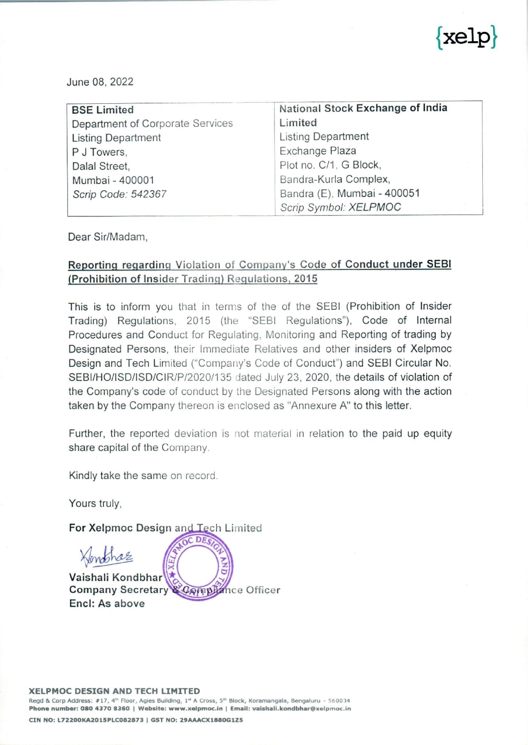

## Annexure A

## Report by Xelpmoc Design and Tech Limited for violations related to Code of Conduct under SEBI (Prohibition of Insider Trading) Regulations, 2015. Report by<br>Schedule ations related to Cod<br>g) Regulations, 2015<br>ion of Insider Trading)

| Annexure A<br>Report by Xelpmoc Design and Tech Limited for violations related to Code of Conduct<br>under SEBI (Prohibition of Insider Trading) Regulations, 2015.<br>Schedule B read with Regulation 9 (1) of SEBI (Prohibition of Insider Trading) Regulations,<br>2015<br>Sr. No.<br>Particulars<br><b>Details</b><br>1<br>Name of<br>the<br>listed<br>company/ Intermediary/<br>Fiduciary<br>$\overline{2}$<br>Please tick appropriate checkbox<br>Listed Company<br>Reporting in capacity of:<br>√⊡Listed Company<br>$\pm$ Intermediary<br>Fiduciary<br>3<br>A. Details of Designated Person (DP)<br>i.<br>Name of the DP<br>Ms. Arunima Jain<br>ii.<br>PAN of the DP<br>AXMPJ1596M<br>iii.<br>Designation of DP<br>Programme Manager<br>iv.<br>Functional Role of DP<br>Manager of the Company.<br>Whether DP is Promoter or belongs to<br>V.<br><b>No</b><br>Promoter Group<br>B. If Reporting is for immediate relative of DP<br>i<br>Name of the immediate relative of DP<br>$\overline{\phantom{a}}$<br>Ιi<br>PAN of the immediate relative of DP<br>C. Details of transaction(s)<br>Ť<br>Name of the Scrip<br>BSE: 542367 |  | $\{ \text{xelp} \}$                                                   |
|---------------------------------------------------------------------------------------------------------------------------------------------------------------------------------------------------------------------------------------------------------------------------------------------------------------------------------------------------------------------------------------------------------------------------------------------------------------------------------------------------------------------------------------------------------------------------------------------------------------------------------------------------------------------------------------------------------------------------------------------------------------------------------------------------------------------------------------------------------------------------------------------------------------------------------------------------------------------------------------------------------------------------------------------------------------------------------------------------------------------------------------|--|-----------------------------------------------------------------------|
|                                                                                                                                                                                                                                                                                                                                                                                                                                                                                                                                                                                                                                                                                                                                                                                                                                                                                                                                                                                                                                                                                                                                       |  |                                                                       |
|                                                                                                                                                                                                                                                                                                                                                                                                                                                                                                                                                                                                                                                                                                                                                                                                                                                                                                                                                                                                                                                                                                                                       |  |                                                                       |
|                                                                                                                                                                                                                                                                                                                                                                                                                                                                                                                                                                                                                                                                                                                                                                                                                                                                                                                                                                                                                                                                                                                                       |  |                                                                       |
|                                                                                                                                                                                                                                                                                                                                                                                                                                                                                                                                                                                                                                                                                                                                                                                                                                                                                                                                                                                                                                                                                                                                       |  | Xelpmoc Design and Tech Limited                                       |
|                                                                                                                                                                                                                                                                                                                                                                                                                                                                                                                                                                                                                                                                                                                                                                                                                                                                                                                                                                                                                                                                                                                                       |  |                                                                       |
|                                                                                                                                                                                                                                                                                                                                                                                                                                                                                                                                                                                                                                                                                                                                                                                                                                                                                                                                                                                                                                                                                                                                       |  |                                                                       |
|                                                                                                                                                                                                                                                                                                                                                                                                                                                                                                                                                                                                                                                                                                                                                                                                                                                                                                                                                                                                                                                                                                                                       |  |                                                                       |
|                                                                                                                                                                                                                                                                                                                                                                                                                                                                                                                                                                                                                                                                                                                                                                                                                                                                                                                                                                                                                                                                                                                                       |  |                                                                       |
|                                                                                                                                                                                                                                                                                                                                                                                                                                                                                                                                                                                                                                                                                                                                                                                                                                                                                                                                                                                                                                                                                                                                       |  |                                                                       |
|                                                                                                                                                                                                                                                                                                                                                                                                                                                                                                                                                                                                                                                                                                                                                                                                                                                                                                                                                                                                                                                                                                                                       |  | Ms. Arunima Jain is a Programme                                       |
|                                                                                                                                                                                                                                                                                                                                                                                                                                                                                                                                                                                                                                                                                                                                                                                                                                                                                                                                                                                                                                                                                                                                       |  |                                                                       |
|                                                                                                                                                                                                                                                                                                                                                                                                                                                                                                                                                                                                                                                                                                                                                                                                                                                                                                                                                                                                                                                                                                                                       |  |                                                                       |
|                                                                                                                                                                                                                                                                                                                                                                                                                                                                                                                                                                                                                                                                                                                                                                                                                                                                                                                                                                                                                                                                                                                                       |  |                                                                       |
|                                                                                                                                                                                                                                                                                                                                                                                                                                                                                                                                                                                                                                                                                                                                                                                                                                                                                                                                                                                                                                                                                                                                       |  |                                                                       |
|                                                                                                                                                                                                                                                                                                                                                                                                                                                                                                                                                                                                                                                                                                                                                                                                                                                                                                                                                                                                                                                                                                                                       |  |                                                                       |
|                                                                                                                                                                                                                                                                                                                                                                                                                                                                                                                                                                                                                                                                                                                                                                                                                                                                                                                                                                                                                                                                                                                                       |  | Xelpmoc Design and Tech Limited                                       |
|                                                                                                                                                                                                                                                                                                                                                                                                                                                                                                                                                                                                                                                                                                                                                                                                                                                                                                                                                                                                                                                                                                                                       |  | <b>NSE: XELPMOC</b>                                                   |
| ii<br>No. of shares traded and value (Rs.) (Date-<br>wise)                                                                                                                                                                                                                                                                                                                                                                                                                                                                                                                                                                                                                                                                                                                                                                                                                                                                                                                                                                                                                                                                            |  | May 25, 2022: 250 equity shares<br>were purchased for Rs.50,207.18/-. |



## XELPMOC DESIGN AND TECH LIMITED

<u> 1999 - Andrea Albert Albert al III et al. (m. 1989).</u>

Regd & Corp Address: #17, 4" Floor, Agies Building, 1° A Cross, 5" Block, Koramangala, Bengaluru - 560034 Phone number: 080 4370 8360 | Website: www.xelpmoc.in | Email: vaishali.kondbhar@xelpmoc.in

CIN NO: L72200KA2015PLC082873 | GST NO: 29AAACX1880G1Z5